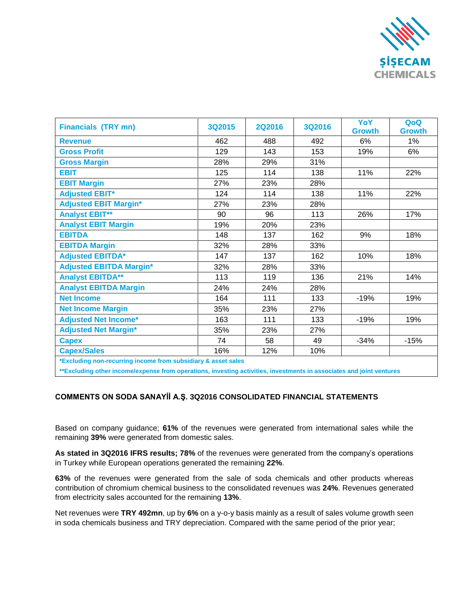

| <b>Financials (TRY mn)</b>                                    | 3Q2015 | <b>2Q2016</b> | 3Q2016 | YoY<br><b>Growth</b> | QoQ<br><b>Growth</b> |
|---------------------------------------------------------------|--------|---------------|--------|----------------------|----------------------|
| <b>Revenue</b>                                                | 462    | 488           | 492    | 6%                   | 1%                   |
| <b>Gross Profit</b>                                           | 129    | 143           | 153    | 19%                  | 6%                   |
| <b>Gross Margin</b>                                           | 28%    | 29%           | 31%    |                      |                      |
| <b>EBIT</b>                                                   | 125    | 114           | 138    | 11%                  | 22%                  |
| <b>EBIT Margin</b>                                            | 27%    | 23%           | 28%    |                      |                      |
| <b>Adjusted EBIT*</b>                                         | 124    | 114           | 138    | 11%                  | 22%                  |
| <b>Adjusted EBIT Margin*</b>                                  | 27%    | 23%           | 28%    |                      |                      |
| <b>Analyst EBIT**</b>                                         | 90     | 96            | 113    | 26%                  | 17%                  |
| <b>Analyst EBIT Margin</b>                                    | 19%    | 20%           | 23%    |                      |                      |
| <b>EBITDA</b>                                                 | 148    | 137           | 162    | 9%                   | 18%                  |
| <b>EBITDA Margin</b>                                          | 32%    | 28%           | 33%    |                      |                      |
| <b>Adjusted EBITDA*</b>                                       | 147    | 137           | 162    | 10%                  | 18%                  |
| <b>Adjusted EBITDA Margin*</b>                                | 32%    | 28%           | 33%    |                      |                      |
| <b>Analyst EBITDA**</b>                                       | 113    | 119           | 136    | 21%                  | 14%                  |
| <b>Analyst EBITDA Margin</b>                                  | 24%    | 24%           | 28%    |                      |                      |
| <b>Net Income</b>                                             | 164    | 111           | 133    | $-19%$               | 19%                  |
| <b>Net Income Margin</b>                                      | 35%    | 23%           | 27%    |                      |                      |
| <b>Adjusted Net Income*</b>                                   | 163    | 111           | 133    | $-19%$               | 19%                  |
| <b>Adjusted Net Margin*</b>                                   | 35%    | 23%           | 27%    |                      |                      |
| <b>Capex</b>                                                  | 74     | 58            | 49     | $-34%$               | $-15%$               |
| <b>Capex/Sales</b>                                            | 16%    | 12%           | 10%    |                      |                      |
| *Excluding non-recurring income from subsidiary & asset sales |        |               |        |                      |                      |

**\*\*Excluding other income/expense from operations, investing activities, investments in associates and joint ventures**

## **COMMENTS ON SODA SANAYİİ A.Ş. 3Q2016 CONSOLIDATED FINANCIAL STATEMENTS**

Based on company guidance; **61%** of the revenues were generated from international sales while the remaining **39%** were generated from domestic sales.

**As stated in 3Q2016 IFRS results; 78%** of the revenues were generated from the company's operations in Turkey while European operations generated the remaining **22%**.

**63%** of the revenues were generated from the sale of soda chemicals and other products whereas contribution of chromium chemical business to the consolidated revenues was **24%**. Revenues generated from electricity sales accounted for the remaining **13%**.

Net revenues were **TRY 492mn**, up by **6%** on a y-o-y basis mainly as a result of sales volume growth seen in soda chemicals business and TRY depreciation. Compared with the same period of the prior year;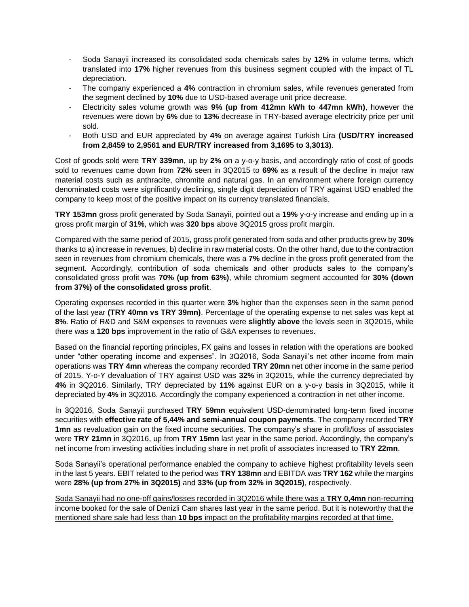- Soda Sanayii increased its consolidated soda chemicals sales by **12%** in volume terms, which translated into **17%** higher revenues from this business segment coupled with the impact of TL depreciation.
- The company experienced a **4%** contraction in chromium sales, while revenues generated from the segment declined by **10%** due to USD-based average unit price decrease.
- Electricity sales volume growth was 9% (up from 412mn kWh to 447mn kWh), however the revenues were down by **6%** due to **13%** decrease in TRY-based average electricity price per unit sold.
- Both USD and EUR appreciated by **4%** on average against Turkish Lira **(USD/TRY increased from 2,8459 to 2,9561 and EUR/TRY increased from 3,1695 to 3,3013)**.

Cost of goods sold were **TRY 339mn**, up by **2%** on a y-o-y basis, and accordingly ratio of cost of goods sold to revenues came down from **72%** seen in 3Q2015 to **69%** as a result of the decline in major raw material costs such as anthracite, chromite and natural gas. In an environment where foreign currency denominated costs were significantly declining, single digit depreciation of TRY against USD enabled the company to keep most of the positive impact on its currency translated financials.

**TRY 153mn** gross profit generated by Soda Sanayii, pointed out a **19%** y-o-y increase and ending up in a gross profit margin of **31%**, which was **320 bps** above 3Q2015 gross profit margin.

Compared with the same period of 2015, gross profit generated from soda and other products grew by **30%** thanks to a) increase in revenues, b) decline in raw material costs. On the other hand, due to the contraction seen in revenues from chromium chemicals, there was a **7%** decline in the gross profit generated from the segment. Accordingly, contribution of soda chemicals and other products sales to the company's consolidated gross profit was **70% (up from 63%)**, while chromium segment accounted for **30% (down from 37%) of the consolidated gross profit**.

Operating expenses recorded in this quarter were **3%** higher than the expenses seen in the same period of the last year **(TRY 40mn vs TRY 39mn)**. Percentage of the operating expense to net sales was kept at **8%**. Ratio of R&D and S&M expenses to revenues were **slightly above** the levels seen in 3Q2015, while there was a **120 bps** improvement in the ratio of G&A expenses to revenues.

Based on the financial reporting principles, FX gains and losses in relation with the operations are booked under "other operating income and expenses". In 3Q2016, Soda Sanayii's net other income from main operations was **TRY 4mn** whereas the company recorded **TRY 20mn** net other income in the same period of 2015. Y-o-Y devaluation of TRY against USD was **32%** in 3Q2015, while the currency depreciated by **4%** in 3Q2016. Similarly, TRY depreciated by **11%** against EUR on a y-o-y basis in 3Q2015, while it depreciated by **4%** in 3Q2016. Accordingly the company experienced a contraction in net other income.

In 3Q2016, Soda Sanayii purchased **TRY 59mn** equivalent USD-denominated long-term fixed income securities with **effective rate of 5,44% and semi-annual coupon payments**. The company recorded **TRY 1mn** as revaluation gain on the fixed income securities. The company's share in profit/loss of associates were **TRY 21mn** in 3Q2016, up from **TRY 15mn** last year in the same period. Accordingly, the company's net income from investing activities including share in net profit of associates increased to **TRY 22mn**.

Soda Sanayii's operational performance enabled the company to achieve highest profitability levels seen in the last 5 years. EBIT related to the period was **TRY 138mn** and EBITDA was **TRY 162** while the margins were **28% (up from 27% in 3Q2015)** and **33% (up from 32% in 3Q2015)**, respectively.

Soda Sanayii had no one-off gains/losses recorded in 3Q2016 while there was a **TRY 0,4mn** non-recurring income booked for the sale of Denizli Cam shares last year in the same period. But it is noteworthy that the mentioned share sale had less than **10 bps** impact on the profitability margins recorded at that time.